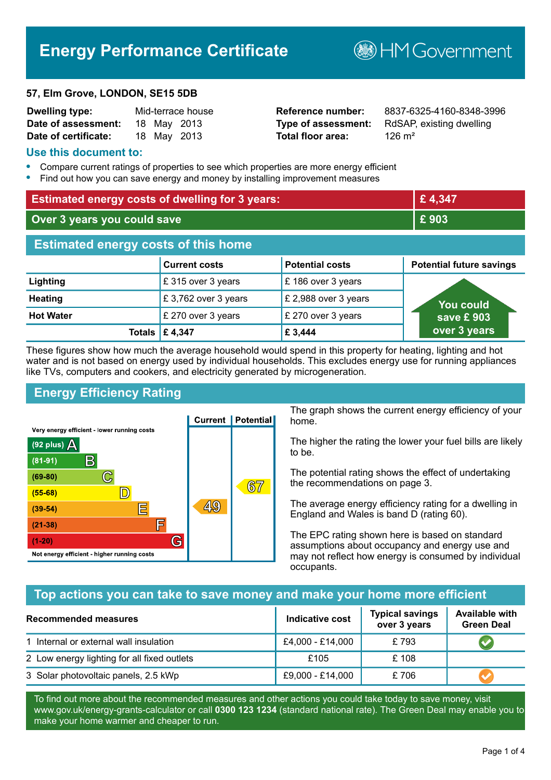# **Energy Performance Certificate**

#### **57, Elm Grove, LONDON, SE15 5DB**

| <b>Dwelling type:</b> |  | Mid-terrace house |
|-----------------------|--|-------------------|
| Date of assessment:   |  | 18 May 2013       |
| Date of certificate:  |  | 18 May 2013       |

# **Total floor area:** 126 m<sup>2</sup>

**Reference number:** 8837-6325-4160-8348-3996 **Type of assessment:** RdSAP, existing dwelling

**B**HM Government

#### **Use this document to:**

- **•** Compare current ratings of properties to see which properties are more energy efficient
- **•** Find out how you can save energy and money by installing improvement measures

| <b>Estimated energy costs of dwelling for 3 years:</b> |                           |                        | £4,347                          |
|--------------------------------------------------------|---------------------------|------------------------|---------------------------------|
| Over 3 years you could save                            |                           | £903                   |                                 |
| <b>Estimated energy costs of this home</b>             |                           |                        |                                 |
|                                                        | <b>Current costs</b>      | <b>Potential costs</b> | <b>Potential future savings</b> |
| Lighting                                               | £315 over 3 years         | £186 over 3 years      |                                 |
| <b>Heating</b>                                         | £3,762 over 3 years       | £ 2,988 over 3 years   | You could                       |
| <b>Hot Water</b>                                       | £ 270 over 3 years        | £ 270 over 3 years     | save £903                       |
|                                                        | Totals $\mathsf{E}$ 4,347 | £ 3,444                | over 3 years                    |

These figures show how much the average household would spend in this property for heating, lighting and hot water and is not based on energy used by individual households. This excludes energy use for running appliances like TVs, computers and cookers, and electricity generated by microgeneration.

# **Energy Efficiency Rating**



The graph shows the current energy efficiency of your home.

The higher the rating the lower your fuel bills are likely to be.

The potential rating shows the effect of undertaking the recommendations on page 3.

The average energy efficiency rating for a dwelling in England and Wales is band D (rating 60).

The EPC rating shown here is based on standard assumptions about occupancy and energy use and may not reflect how energy is consumed by individual occupants.

# **Top actions you can take to save money and make your home more efficient**

| Recommended measures                        | Indicative cost  | <b>Typical savings</b><br>over 3 years | <b>Available with</b><br><b>Green Deal</b> |
|---------------------------------------------|------------------|----------------------------------------|--------------------------------------------|
| 1 Internal or external wall insulation      | £4,000 - £14,000 | £793                                   |                                            |
| 2 Low energy lighting for all fixed outlets | £105             | £108                                   |                                            |
| 3 Solar photovoltaic panels, 2.5 kWp        | £9,000 - £14,000 | £706                                   |                                            |

To find out more about the recommended measures and other actions you could take today to save money, visit www.gov.uk/energy-grants-calculator or call **0300 123 1234** (standard national rate). The Green Deal may enable you to make your home warmer and cheaper to run.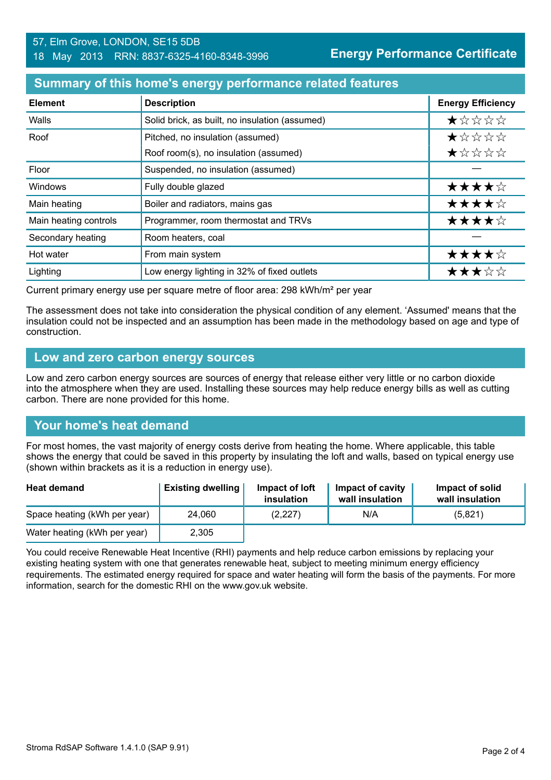#### 57, Elm Grove, LONDON, SE15 5DB 18 May 2013 RRN: 8837-6325-4160-8348-3996

#### **Summary of this home's energy performance related features**

| <b>Element</b>        | <b>Description</b>                             | <b>Energy Efficiency</b> |
|-----------------------|------------------------------------------------|--------------------------|
| Walls                 | Solid brick, as built, no insulation (assumed) | *****                    |
| Roof                  | Pitched, no insulation (assumed)               | *****                    |
|                       | Roof room(s), no insulation (assumed)          | ★☆☆☆☆                    |
| Floor                 | Suspended, no insulation (assumed)             |                          |
| Windows               | Fully double glazed                            | ★★★★☆                    |
| Main heating          | Boiler and radiators, mains gas                | ★★★★☆                    |
| Main heating controls | Programmer, room thermostat and TRVs           | ★★★★☆                    |
| Secondary heating     | Room heaters, coal                             |                          |
| Hot water             | From main system                               | ★★★★☆                    |
| Lighting              | Low energy lighting in 32% of fixed outlets    | ★★★☆☆                    |

Current primary energy use per square metre of floor area: 298 kWh/m² per year

The assessment does not take into consideration the physical condition of any element. 'Assumed' means that the insulation could not be inspected and an assumption has been made in the methodology based on age and type of construction.

#### **Low and zero carbon energy sources**

Low and zero carbon energy sources are sources of energy that release either very little or no carbon dioxide into the atmosphere when they are used. Installing these sources may help reduce energy bills as well as cutting carbon. There are none provided for this home.

# **Your home's heat demand**

For most homes, the vast majority of energy costs derive from heating the home. Where applicable, this table shows the energy that could be saved in this property by insulating the loft and walls, based on typical energy use (shown within brackets as it is a reduction in energy use).

| <b>Heat demand</b>           | <b>Existing dwelling</b> | Impact of loft<br>insulation | Impact of cavity<br>wall insulation | Impact of solid<br>wall insulation |
|------------------------------|--------------------------|------------------------------|-------------------------------------|------------------------------------|
| Space heating (kWh per year) | 24,060                   | (2,227)                      | N/A                                 | (5,821)                            |
| Water heating (kWh per year) | 2,305                    |                              |                                     |                                    |

You could receive Renewable Heat Incentive (RHI) payments and help reduce carbon emissions by replacing your existing heating system with one that generates renewable heat, subject to meeting minimum energy efficiency requirements. The estimated energy required for space and water heating will form the basis of the payments. For more information, search for the domestic RHI on the www.gov.uk website.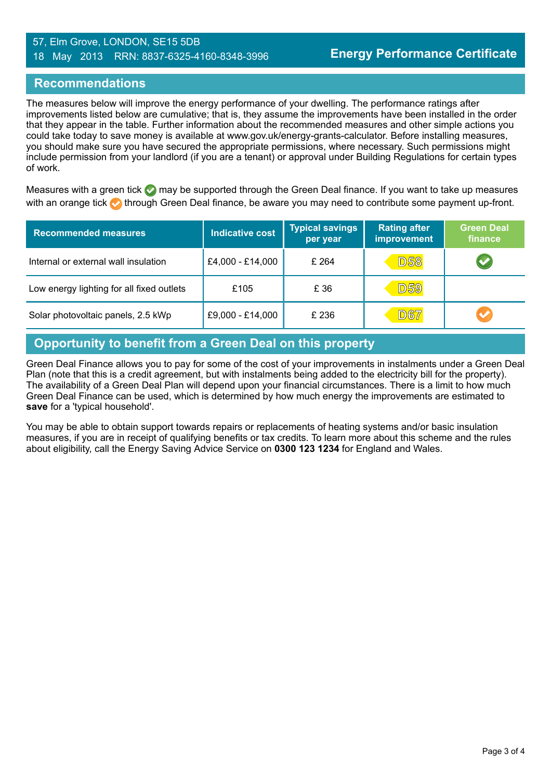#### 57, Elm Grove, LONDON, SE15 5DB 18 May 2013 RRN: 8837-6325-4160-8348-3996

#### **Recommendations**

The measures below will improve the energy performance of your dwelling. The performance ratings after improvements listed below are cumulative; that is, they assume the improvements have been installed in the order that they appear in the table. Further information about the recommended measures and other simple actions you could take today to save money is available at www.gov.uk/energy-grants-calculator. Before installing measures, you should make sure you have secured the appropriate permissions, where necessary. Such permissions might include permission from your landlord (if you are a tenant) or approval under Building Regulations for certain types of work.

Measures with a green tick  $\bullet$  may be supported through the Green Deal finance. If you want to take up measures with an orange tick **th** through Green Deal finance, be aware you may need to contribute some payment up-front.

| <b>Recommended measures</b>               | Indicative cost  | <b>Typical savings</b><br>per year | <b>Rating after</b><br><b>improvement</b> | <b>Green Deal</b><br>finance |
|-------------------------------------------|------------------|------------------------------------|-------------------------------------------|------------------------------|
| Internal or external wall insulation      | £4,000 - £14,000 | £ 264                              | <b>D58</b>                                | $\blacktriangledown$         |
| Low energy lighting for all fixed outlets | £105             | £ 36                               | <b>D59</b>                                |                              |
| Solar photovoltaic panels, 2.5 kWp        | £9,000 - £14,000 | £ 236                              | <b>D67</b>                                | $\blacktriangledown$         |

# **Opportunity to benefit from a Green Deal on this property**

Green Deal Finance allows you to pay for some of the cost of your improvements in instalments under a Green Deal Plan (note that this is a credit agreement, but with instalments being added to the electricity bill for the property). The availability of a Green Deal Plan will depend upon your financial circumstances. There is a limit to how much Green Deal Finance can be used, which is determined by how much energy the improvements are estimated to **save** for a 'typical household'.

You may be able to obtain support towards repairs or replacements of heating systems and/or basic insulation measures, if you are in receipt of qualifying benefits or tax credits. To learn more about this scheme and the rules about eligibility, call the Energy Saving Advice Service on **0300 123 1234** for England and Wales.